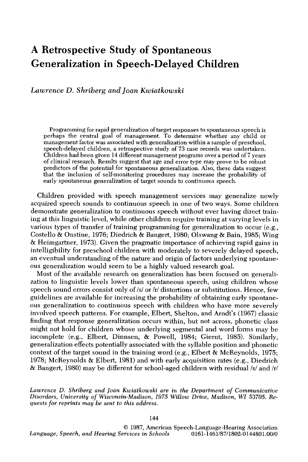# **A Retrospective Study of Spontaneous Generalization in Speech-Delayed Children**

*Lawrence D. Shriberg and Joan Kwiatkowski* 

Programming for rapid generalization of target responses to spontaneous speech is perhaps the central goal of management. To determine whether any child or management factor was associated with generalization within a sample of preschool, speech-delayed children, a retrospective study of 73 case records was undertaken. Children had been given 14 different management programs over a period of 7 years of clinical research. Results suggest that age and error type may prove to be robust predictors of the potential for spontaneous generalization. Also, these data suggest that the inclusion of self-monitoring procedures may increase the probability of early spontaneous generalization of target sounds to continuous speech.

Children provided with speech management services may generalize newly acquired speech sounds to continuous speech in one of two ways. Some children demonstrate generalization to continuous speech without ever having direct training at this linguistic level, while other children require training at varying levels in various types of transfer of training programming for generalization to occur (e.g., Costello & Onstine, 1976; Diedrich & Bangert, 1980; Olswang & Bain, 1985; Wing & Heimgartner, 1973). Given the pragmatic importance of achieving rapid gains in intelligibility for preschool children with moderately to severely delayed speech, an eventual understanding of the nature and origin of factors underlying spontaneous generalization would seem to be a highly valued research goal.

Most of the available research on generalization has been focused on generalization to linguistic levels lower than spontaneous speech, using children whose speech sound errors consist only of/s/or/r/distortions or substitutions. Hence, few guidelines are available for increasing the probability of obtaining early spontaneous generalization to continuous speech with children who have more severely involved speech patterns. For example, Elbert, Shelton, and Arndt's (1967) classic finding that response generalization occurs within, but not across, phonetic class might not hold for children whose underlying segmental and word forms may be incomplete (e.g., Elbert, Dinnsen, & Powell, 1984; Gierut, 1985). Similarly, generalization effects potentially associated with the syllable position and phonetic context of the target sound in the training word (e.g., Elbert & McReynolds, 1975; 1978; McReynolds & Elbert, 1981) and with early acquisition rates (e.g., Diedrich  $\&$  Bangert, 1980) may be different for school-aged children with residual /s/ and /r/

*Lawrence D. Shriberg and Joan Kwiatkowski are in the Department of Communicative Disorders, University of Wisconsin-Madison, 1975 Willow Drive, Madison, WI 53705. Requests for reprints may be sent to this address.* 

© 1987, American Speech-Language-Hearing Association *Language, Speech, and Hearing Services in Schools* 0161-1461/87/1802-0144501.00/0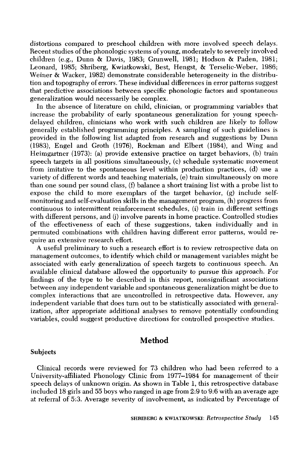distortions compared to preschool children with more involved speech delays. Recent studies of the phonologic systems of young, moderately to severely involved children (e.g., Dunn & Davis, 1983; Grunwell, 1981; Hodson & Paden, 1981; Leonard, 1985; Shriberg, Kwiatkowski, Best, Hengst, & Terselic-Weber, 1986; Weiner & Wacker, 1982) demonstrate considerable heterogeneity in the distribution and topography of errors. These individual differences in error patterns suggest that predictive associations between specific phonologic factors and spontaneous generalization would necessarily be complex.

In the absence of literature on child, clinician, or programming variables that increase the probability of early spontaneous generalization for young speechdelayed children, clinicians who work with such children are likely to follow generally established programming principles. A sampling of such guidelines is provided in the following list adapted from research and suggestions by Dunn (1983), Engel and Groth (1976), Rockman and Elbert (1984), and Wing and Heimgartner (1973): (a) provide extensive practice on target behaviors, (b) train speech targets in all positions simultaneously, (c) schedule systematic movement from imitative to the spontaneous level within production practices, (d) use a variety of different words and teaching materials, (e) train simultaneously on more than one sound per sound class, (f) balance a short training list with a probe list to expose the child to more exemplars of the target behavior,  $(g)$  include selfmonitoring and self-evaluation skills in the management program, (h) progress from continuous to intermittent reinforcement schedules, (i) train in different settings with different persons, and (j) involve parents in home practice. Controlled studies of the effectiveness of each of these suggestions, taken individually and in permuted combinations with children having different error patterns, would require an extensive research effort.

A useful preliminary to such a research effort is to review retrospective data on management outcomes, to identify which child or management variables might be associated with early generalization of speech targets to continuous speech. An available clinical database allowed the opportunity to pursue this approach. For findings of the type to be described in this report, nonsignificant associations between any independent variable and spontaneous generalization might be due to complex interactions that are uncontrolled in retrospective data. However, any independent variable that does turn out to be statistically associated with generalization, after appropriate additional analyses to remove potentially confounding variables, could suggest productive directions for controlled prospective studies.

# **Method**

#### Subjects

Clinical records were reviewed for 73 children who had been referred to a University-affiliated Phonology Clinic from 1977-1984 for management of their speech delays of unknown origin. As shown in Table 1, this retrospective database included 18 girls and 55 boys who ranged in age from 2:9 to 9:6 with an average age at referral of 5:3. Average severity of involvement, as indicated by Percentage of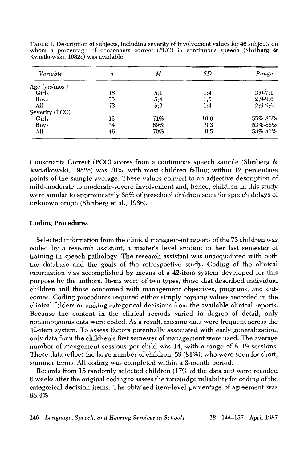| Variable       | n  | М   | SD   | Range     |
|----------------|----|-----|------|-----------|
| Age (yrs/mos.) |    |     |      |           |
| Girls          | 18 | 5;1 | 1;4  | $3:0-7:1$ |
| <b>Boys</b>    | 55 | 5,4 | 1:5  | $2,9-9,6$ |
| All            | 73 | 5:3 | 1:4  | $2:9-9:6$ |
| Severity (PCC) |    |     |      |           |
| Girls          | 12 | 71% | 10.0 | 55%-86%   |
| <b>Boys</b>    | 34 | 69% | 9.3  | 53%-86%   |
| All            | 46 | 70% | 9.5  | 53%-86%   |

TABLE 1. Description of subjects, including severity of involvement values for 46 subjects on whom a percentage of consonants correct *(PCC)* in continuous speech (Shriberg & Kwiatkowski, 1982c) was available.

Consonants Correct (PCC) scores from a continuous speech sample (Shriberg & Kwiatkowski, 1982c) was 70%, with most children falling within 12 percentage points of the sample average. These values convert to an adjective description of mild-moderate to moderate-severe involvement and, hence, children in this study were similar to approximately 85% of preschool children seen for speech delays of unknown origin (Shriberg et al., 1986).

# **Coding Procedures**

Selected information from the clinical management reports of the 73 children was coded by a research assistant, a master's level student in her last semester of training in speech pathology. The research assistant was unacquainted with both the database and the goals of the retrospective study. Coding of the clinical information was accomplished by means of a 42-item system developed for this purpose by the authors. Items were of two types, those that described individual children and those concerned with management objectives, programs, and outcomes. Coding procedures required either simply copying values recorded in the clinical folders or making categorical decisions from the available clinical reports. Because the content in the clinical records varied in degree of detail, only nonambiguous data were coded. As a result, missing data were frequent across the 42-item system. To assess factors potentially associated with early generalization, only data from the children's first semester of management were used. The average number of mangement sessions per child was 14, with a range of 8-19 sessions. These data reflect the large number of children, 59 (81%), who were seen for short, summer terms. All coding was completed within a 3-month period.

Records from 15 randomly selected children (17% of the data set) were recoded 6 weeks after the original coding to assess the intrajudge reliability for coding of the categorical decision items. The obtained item-level percentage of agreement was 98.4%.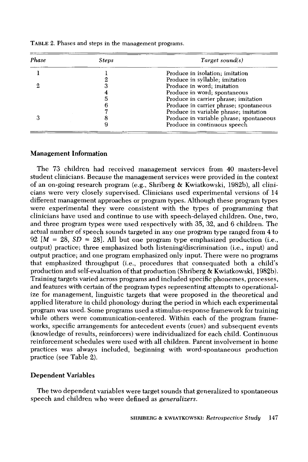| Phase | <b>Steps</b> | Target sound(s)                         |
|-------|--------------|-----------------------------------------|
|       |              | Produce in isolation, imitation         |
|       |              | Produce in syllable; imitation          |
| 9.    |              | Produce in word; imitation              |
|       |              | Produce in word; spontaneous            |
|       |              | Produce in carrier phrase; imitation    |
|       |              | Produce in carrier phrase; spontaneous  |
|       |              | Produce in variable phrase; imitation   |
|       |              | Produce in variable phrase; spontaneous |
|       |              | Produce in continuous speech            |

TABLE 2. Phases and steps in the management programs.

# **Management Information**

The 73 children had received management services from 40 masters-level student clinicians. Because the management services were provided in the context of an on-going research program (e.g., Shriberg & Kwiatkowski, 1982b), all clinicians were very closely supervised. Clinicians used experimental versions of 14 different management approaches or program types. Although these program types were experimental they were consistent with the types of programming that clinicians have used and continue to use with speech-delayed children. One, two, and three program types were used respectively with 35, 32, and 6 children. The actual number of speech sounds targeted in any one program type ranged from 4 to 92  $[M = 28, SD = 28]$ . All but one program type emphasized production (i.e., output) practice; three emphasized both listening/discrimination (i.e., input) and output practice; and one program emphasized only input. There were no programs that emphasized throughput (i.e., procedures that consequated both a child's production and self-evaluation of that production (Shriberg  $\&$  Kwiatkowski, 1982b). Training targets varied across programs and included specific phonemes, processes, and features with certain of the program types representing attempts to operationalize for management, linguistic targets that were proposed in the theoretical and applied literature in child phonology during the period in which each experimental program was used. Some programs used a stimulus-response framework for training while others were communication-centered. Within each of the program frameworks, specific arrangements for antecedent events (cues) and subsequent events (knowledge of results, reinforcers) were individualized for each child. Continuous reinforcement schedules were used with all children. Parent involvement in home practices was always included, beginning with word-spontaneous production practice (see Table 2).

# **Dependent Variables**

The two dependent variables were target sounds that generalized to spontaneous speech and children who were defined as *generalizers.*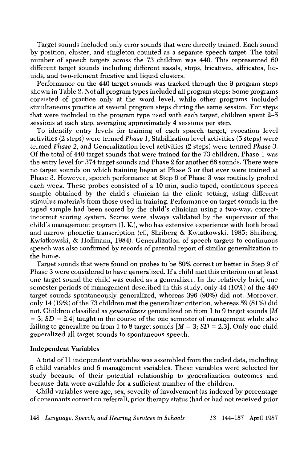Target sounds included only error sounds that were directly trained. Each sound by position, cluster, and singleton counted as a separate speech target. The total number of speech targets across the 73 children was 440. This represented 60 different target sounds including different nasals, stops, fricatives, affricates, liquids, and two-element fricative and liquid clusters.

Performance on the 440 target sounds was tracked through the 9 program steps shown in Table 2. Not all program types included all program steps: Some programs consisted of practice only at the word level, while other programs included simultaneous practice at several program steps during the same session. For steps that were included in the program type used with each target, children spent 2-5 sessions at each step, averaging approximately 4 sessions per step.

To identify entry levels for training of each speech target, evocation level activities (2 steps) were termed *Phase 1,* Stabilization level activities (5 steps) were termed *Phase 2,* and Generalization level activities (2 steps) were termed *Phase 3.*  Of the total of 440 target sounds that were trained for the 73 children, Phase 1 was the entry level for 374 target sounds and Phase 2 for another 66 sounds. There were no target sounds on which training began at Phase 3 or that ever were trained at Phase 3. However, speech performance at Step 9 of Phase 3 was routinely probed each week. These probes consisted of a 10-min, audio-taped, continuous speech sample obtained by the child's clinician in the clinic setting, using different stimulus materials from those used in training. Performance on target sounds in the taped sample had been scored by the child's clinician using a two-way, correctincorrect scoring system. Scores were always validated by the supervisor of the child's management program (J. K.), who has extensive experience with both broad and narrow phonetic transcription (cf., Shriberg & Kwiatkowski, 1985; Shriberg, Kwiatkowski, & Hoffmann, 1984). Generalization of speech targets to continuous speech was also confirmed by records of parental report of similar generalization to the home.

Target sounds that were found on probes to be 80% correct or better in Step 9 of Phase 3 were considered to have generalized. If a child met this criterion on at least one target sound the child was coded as a generalizer. In the relatively brief, one semester periods of management described in this study, only 44 (10%) of the 440 target sounds spontaneously generalized, whereas 396 (90%) did not. Moreover, only 14 (19%) of the 73 children met the generalizer criterion, whereas 59 (81%) did not. Children classified as *generalizers* generalized on from 1 to 9 target sounds [M  $= 3$ ; *SD*  $= 2.4$ ] taught in the course of the one semester of management while also failing to generalize on from 1 to 8 target sounds  $[M = 3; SD = 2.3]$ . Only one child generalized all target sounds to spontaneous speech.

### **Independent Variables**

A total of 11 independent variables was assembled from the coded data, including 5 child variables and 6 management variables. These variables were selected for study because of their potential relationship to generalization outcomes and because data were available for a sufficient number of the children.

Child variables were age, sex, severity of involvement (as indexed by percentage of consonants correct on referral), prior therapy status (had or had not received prior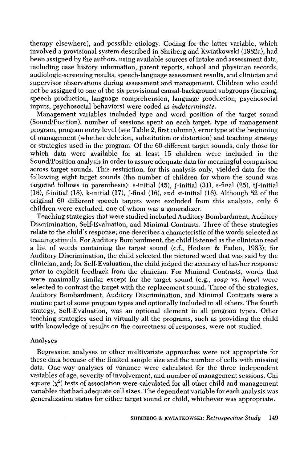therapy elsewhere), and possible etiology. Coding for the latter variable, which involved a provisional system described in Shriberg and Kwiatkowski (1982a), had been assigned by the authors, using available sources of intake and assessment data, including case history information, parent reports, school and physician records, audiologic-screening results, speech-language assessment results, and clinician and supervisor observations during assessment and management. Children who could not be assigned to one of the six provisional causal-background subgroups (hearing, speech production, language comprehension, language production, psychosocial inputs, psychosocial behaviors) were coded as *indeterminate.* 

Management variables included type and word position of the target sound (Sound/Position), number of sessions spent on each target, type of management program, program entry level (see Table 2, first column), error type at the beginning of management (whether deletion, substitution or distortion) and teaching strategy or strategies used in the program. Of the 60 different target sounds, only those for which data were available for at least 15 children were included in the Sound/Position analysis in order to assure adequate data for meaningful comparison across target sounds. This restriction, for this analysis only, yielded data for the following eight target sounds (the number of children for whom the sound was targeted follows in parenthesis): s-initial (45), f-initial (31), s-final (25), tf-initial (18), f-initial (18), k-initial (17), f-final (16), and st-initial (16). Although 52 of the original 60 different speech targets were excluded from this analysis, only 6 children were excluded, one of whom was a generalizer.

Teaching strategies that were studied included Auditory Bombardment, Auditory Discrimination, Self-Evaluation, and Minimal Contrasts. Three of these strategies relate to the child's response; one describes a characteristic of the words selected as training stimuli. For Auditory Bombardment, the child listened as the clinician read a list of words containing the target sound (c.f., Hodson & Paden, 1983); for Auditory Discrimination, the child selected the pictured word that was said by the clinician, and; for Self-Evaluation, the child judged the accuracy of his/her response prior to explicit feedback from the clinician. For Minimal Contrasts, words that were maximally similar except for the target sound (e.g., *soap* vs. *hope)* were selected to contrast the target with the replacement sound. Three of the strategies, Auditory Bombardment, Auditory Discrimination, and Minimal Contrasts were a routine part of some program types and optionally included in all others. The fourth strategy, Self-Evaluation, was an optional element in all program types. Other teaching strategies used in virtually all the programs, such as providing the child with knowledge of results on the correctness of responses, were not studied.

#### Analyses

Regression analyses or other multivariate approaches were not appropriate for these data because of the limited sample size and the number of cells with missing data. One-way analyses of variance were calculated for the three independent variables of age, severity of involvement, and number of management sessions. Chi square  $(x^2)$  tests of association were calculated for all other child and management variables that had adequate cell sizes. The dependent variable for each analysis was generalization status for either target sound or child, whichever was appropriate.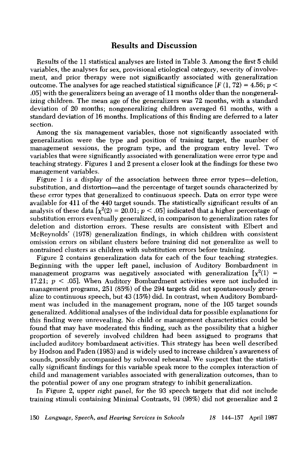# **Results and Discussion**

Results of the 11 statistical analyses are listed in Table 3. Among the first 5 child variables, the analyses for sex, provisional etiological category, severity of involvement, and prior therapy were not significantly associated with generalization outcome. The analyses for age reached statistical significance  $[F(1, 72) = 4.56; p <$ .05] with the generalizers being an average of 11 months older than the nongeneralizing children. The mean age of the generalizers was 72 months, with a standard deviation of 20 months; nongeneralizing children averaged 61 months, with a standard deviation of 16 months. Implications of this finding are deferred to a later section.

Among the six management variables, those not significantly associated with generalization were the type and position of training target, the number of management sessions, the program type, and the program entry level. Two variables that were significantly associated with generalization were error type and teaching strategy. Figures 1 and 2 present a closer look at the findings for these two management variables.

Figure 1 is a display of the *association* between three error types--deletion, substitution, and distortion—and the percentage of target sounds characterized by these error types that generalized to continuous speech. Data on error type were available for 411 of the 440 target sounds. The statistically significant results of an analysis of these data  $[\chi^2(2) = 20.01; p < .05]$  indicated that a higher percentage of substitution errors eventually generalized, in comparison to generalization rates for deletion and distortion errors. These results are consistent with Elbert and McReynolds' (1978) generalization findings, in which children with consistent omission errors on sibilant clusters before training did not generalize as well to nontrained clusters as children with substitution errors before training.

Figure 2 contains generalization data for each of the four teaching strategies. Beginning with the upper left panel, inclusion of Auditory Bombardment in management programs was negatively associated with generalization  $\chi^2(1)$  = 17.21;  $p < .05$ ]. When Auditory Bombardment activities were not included in management programs, 251 (85%) of the 294 targets did not spontaneously generalize to continuous speech, but 43 (15%) did. In contrast, when Auditory Bombardment was included in the management program, none of the 105 target sounds generalized. Additional analyses of the individual data for possible explanations for this finding were unrevealing. No child or management characteristics could be found that may have moderated this finding, such as the possibility that a higher proportion of severely involved children had been assigned to programs that included auditory bombardment activities. This strategy has been well described by Hodson and Paden (1983) and is widely used to increase children's awareness of sounds, possibly accompanied by subvocal rehearsal. We suspect that the statistically significant findings for this variable speak more to the complex interaction of child and management variables associated with generalization outcomes, than to the potential power of any one program strategy to inhibit generalization.

In Figure 2, upper right panel, for the 93 speech targets that did not include training stimuli containing Minimal Contrasts, 91 (98%) did not generalize and 2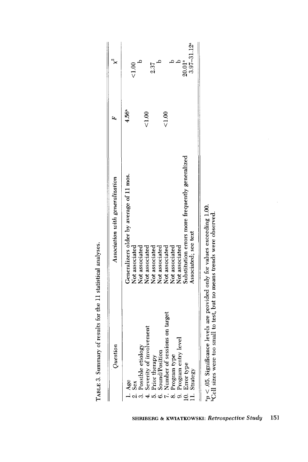| $20.01^{a}$<br>2.37<br>$\widetilde{\mathrm{SO}}$<br>$4.56^{a}$<br>$\frac{8}{10}$<br>$\frac{8}{100}$<br>Substitution errors more frequently generalized<br>Generalizers older by average of 11 mos.<br>Not associated<br>Not associated<br>Not associated<br>Not associated<br>Not associated<br>Not associated<br>Not associated<br>Not associated<br>7. Number of sessions on target<br>L. Severity of involvement<br>Program entry level<br>3. Possible etiology<br>6. Sound/Position<br>Program type<br>Prior therapy<br>10. Error type<br>l. Age<br>2. Sex |                                      |                             |
|----------------------------------------------------------------------------------------------------------------------------------------------------------------------------------------------------------------------------------------------------------------------------------------------------------------------------------------------------------------------------------------------------------------------------------------------------------------------------------------------------------------------------------------------------------------|--------------------------------------|-----------------------------|
|                                                                                                                                                                                                                                                                                                                                                                                                                                                                                                                                                                |                                      |                             |
|                                                                                                                                                                                                                                                                                                                                                                                                                                                                                                                                                                |                                      |                             |
|                                                                                                                                                                                                                                                                                                                                                                                                                                                                                                                                                                |                                      |                             |
|                                                                                                                                                                                                                                                                                                                                                                                                                                                                                                                                                                |                                      |                             |
|                                                                                                                                                                                                                                                                                                                                                                                                                                                                                                                                                                |                                      |                             |
|                                                                                                                                                                                                                                                                                                                                                                                                                                                                                                                                                                |                                      |                             |
|                                                                                                                                                                                                                                                                                                                                                                                                                                                                                                                                                                |                                      |                             |
|                                                                                                                                                                                                                                                                                                                                                                                                                                                                                                                                                                |                                      |                             |
|                                                                                                                                                                                                                                                                                                                                                                                                                                                                                                                                                                |                                      |                             |
|                                                                                                                                                                                                                                                                                                                                                                                                                                                                                                                                                                |                                      |                             |
|                                                                                                                                                                                                                                                                                                                                                                                                                                                                                                                                                                | Associated; see text<br>11. Strategy | $3.97 - 31.12$ <sup>a</sup> |

| l                                                |
|--------------------------------------------------|
| $-2$<br>5                                        |
| $\overline{\phantom{a}}$<br>$\ddot{\phantom{a}}$ |
| $\ddot{\dot{\xi}}$                               |
| i                                                |
| i<br>Į                                           |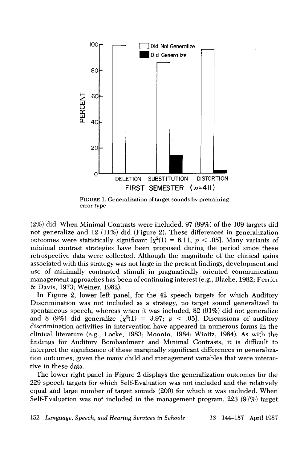

FIGURE 1. Generalization of target sounds by pretraining error type.

(2%) did. When Minimal Contrasts were included, 97 (89%) of the 109 targets did not generalize and 12 (11%) did (Figure 2). These differences in generalization outcomes were statistically significant  $\chi^2(1) = 6.11$ ;  $p < .05$ ]. Many variants of minimal contrast strategies have been proposed during the period since these retrospective data were collected. Although the magnitude of the clinical gains associated with this strategy was not large in the present findings, development and use of minimally contrasted stimuli in pragmatically oriented communication management approaches has been of continuing interest (e.g., Blache, 1982; Ferrier & Davis, 1973; Weiner, 1982).

In Figure 2, lower left panel, for the 42 speech targets for which Auditory Discrimination was not included as a strategy, no target sound generalized to spontaneous speech, whereas when it was included, 82 (91%) did not generalize and 8 (9%) did generalize  $[\chi^2(1) = 3.97; p < .05]$ . Discussions of auditory discrimination activities in intervention have appeared in numerous forms in the clinical literature (e.g., Locke, 1983; Monnin, 1984; Winitz, 1984). As with the findings for Auditory Bombardment and Minimal Contrasts, it is difficult to interpret the significance of these marginally significant differences in generalization outcomes, given the many child and management variables that were interactive in these data.

The lower right panel in Figure 2 displays the generalization outcomes for the 229 speech targets for which Self-Evaluation was not included and the relatively equal and large number of target sounds (200) for which it was included. When Self-Evaluation was not included in the management program, 223 (97%) target

152 *Language, Speech, and Hearing Services in Schools 18* 144-157 April 1987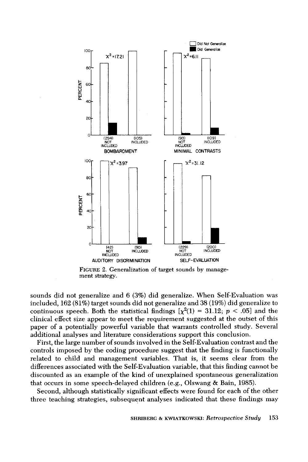

FIGURE **2. Generalization of target sounds by management strategy.** 

**sounds did not generalize and 6 (3%) did generalize. When Self-Evaluation was included, 162 (81%) target sounds did not generalize and 38 (19%) did generalize to**  continuous speech. Both the statistical findings  $[\chi^2(1) = 31.12; p < .05]$  and the **clinical effect size appear to meet the requirement suggested at the outset of this paper of a potentially powerful variable that warrants controlled study. Several additional analyses and literature considerations support this conclusion.** 

**First, the large number of sounds involved in the Self-Evaluation contrast and the controls imposed by the coding procedure suggest that the finding is functionally related to child and management variables. That is, it seems clear from the differences associated with the Self-Evaluation variable, that this finding cannot be discounted as an example of the kind of unexplained spontaneous generalization that occurs in some speech-delayed children (e.g., Olswang & Bain, 1985).** 

**Second, although statistically significant effects were found for each of the other three teaching strategies, subsequent analyses indicated that these findings may**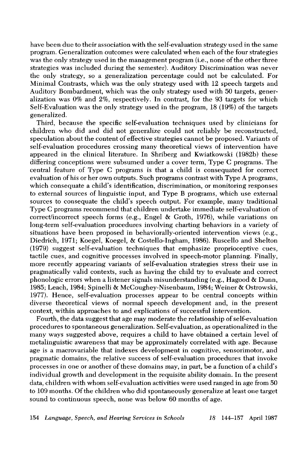have been due to their association with the self-evaluation strategy used in the same program. Generalization outcomes were calculated when each of the four strategies was the only strategy used in the management program (i.e., none of the other three strategies was included during the semester). Auditory Discrimination was never the only strategy, so a generalization percentage could not be calculated. For Minimal Contrasts, which was the only strategy used with 12 speech targets and Auditory Bombardment, which was the only strategy used with 50 targets, generalization was 0% and 2%, respectively. In contrast, for the 93 targets for which Self-Evaluation was the only strategy used in the program, 18 (19%) of the targets generalized.

Third, because the specific self-evaluation techniques used by clinicians for children who did and did not generalize could not reliably be reconstructed, speculation about the content of effective strategies cannot be proposed. Variants of self-evaluation procedures crossing many theoretical views of intervention have appeared in the clinical literature. In Shriberg and Kwiatkowski (1982b) these differing conceptions were subsumed under a cover term, Type C programs. The central feature of Type C programs is that a child is consequated for correct evaluation of his or her own outputs. Such programs contrast with Type A programs, which consequate a child's identification, discrimination, or monitoring responses to external sources of linguistic input, and Type B programs, which use external sources to consequate the child's speech output. For example, many traditional Type C programs recommend that children undertake immediate self-evaluation of correct/incorrect speech forms (e.g., Engel & Groth, 1976), while variations on long-term self-evaluation procedures involving charting behaviors in a variety of situations have been proposed in behaviorally-oriented intervention views (e.g., Diedrich, 1971; Koegel, Koegel, & Costello-Ingham, 1986). Ruscello and Shelton (1979) suggest self-evaluation techniques that emphasize proprioceptive cues, tactile cues, and cognitive processes involved in speech-motor planning. Finally, more recently appearing variants of self-evaluation strategies stress their use in pragmatically valid contexts, such as having the child try to evaluate and correct phonologic errors when a listener signals misunderstanding (e.g., Hagood & Dunn, 1985; Leach, 1984; Spinelli & McCoughey-Nisenbaum, 1984; Weiner & Ostrowski, 1977). Hence, self-evaluation processes appear to be central concepts within diverse theoretical views of normal speech development and, in the present context, within approaches to and explications of successful intervention.

Fourth, the data suggest that age may moderate the relationship of self-evaluation procedures to spontaneous generalization. Self-evaluation, as operationalized in the many ways suggested above, requires a child to have obtained a certain level of metalinguistic awareness that may be approximately correlated with age. Because age is a macrovariable that indexes development in cognitive, sensorimotor, and pragmatic domains, the relative success of self-evaluation procedures that invoke processes in one or another of these domains may, in part, be a function of a child's individual growth and development in the requisite ability domain. In the present data, children with whom self-evaluation activities were used ranged in age from 50 to 109 months. Of the children who did spontaneously generalize at least one target sound to continuous speech, none was below 60 months of age.

154 *Language, Speech, and Hearing Services in Schools 18* 144-157 April 1987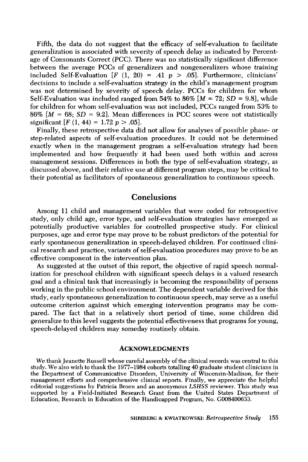Fifth, the data do not suggest that the efficacy of self-evaluation to facilitate generalization is associated with severity of speech delay as indicated by Percentage of Consonants Correct (PCC). There was no statistically significant difference between the average PCCs of generalizers and nongeneralizers whose training included Self-Evaluation  $[F (1, 20) = .41 \, p > .05]$ . Furthermore, clinicians' decisions to include a self-evaluation strategy in the child's management program was not determined by severity of speech delay. PCCs for children for whom Self-Evaluation was included ranged from 54% to  $86\%$  [ $M = 72$ ; *SD* = 9.8], while for children for whom self-evaluation was not included, PCCs ranged from 53% to  $86\%$  [ $M = 68$ ;  $SD = 9.2$ ]. Mean differences in PCC scores were not statistically significant  $[F(1, 44) = 1.72 p > .05]$ .

Finally, these retrospective data did not allow for analyses of possible phase- or step-related aspects of self-evaluation procedures. It could not be determined exactly when in the management program a self-evaluation strategy had been implemented and how frequently it had been used both within and across management sessions. Differences in both the type of self-evaluation strategy, as discussed above, and their relative use at different program steps, may be critical to their potential as facilitators of spontaneous generalization to continuous speech.

# **Conclusions**

Among 11 child and management variables that were coded for retrospective study, only child age, error type, and self-evaluation strategies have emerged as potentially productive variables for controlled prospective study. For clinical purposes, age and error type may prove to be robust predictors of the potential for early spontaneous generalization in speech-delayed children. For continued clinical research and practice, variants of self-evaluation procedures may prove to be an effective component in the intervention plan.

As suggested at the outset of this report, the objective of rapid speech normalization for preschool children with significant speech delays is a valued research goal and a clinical task that increasingly is becoming the responsibility of persons working in the public school environment. The dependent variable derived for this study, early spontaneous generalization to continuous speech, may serve as a useful outcome criterion against which emerging intervention programs may be compared. The fact that in a relatively short period of time, some children did generalize to this level suggests the potential effectiveness that programs for young, speech-delayed children may someday routinely obtain.

#### **ACKNOWLEDGMENTS**

We thank Jeanette Russell whose careful assembly of the clinical records was central to this study. We also wish to thank the 1977-1984 cohorts totalling 40 graduate student clinicians in the Department of Communicative Disorders, University of Wisconsin-Madison, for their management efforts and comprehensive clinical reports. Finally, we appreciate the helpful editorial suggestions by Patricia Broen and an anonymous *LSHSS* reviewer. This study was supported by a Field-Initiated Research Grant from the United States Department of Education, Research in Education of the Handicapped Program, No. G008400633.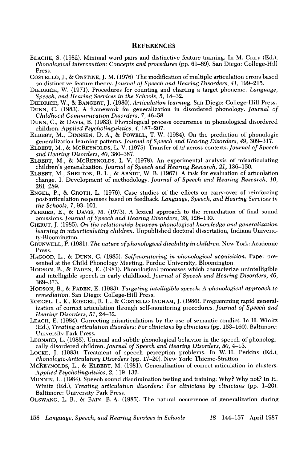### **REFERENCES**

- BLACHE, S. (1982). Minimal word pairs and distinctive feature training. In M. Crary (Ed.), *Phonological intervention: Concepts and procedures* (pp. 61-69). San Diego: College-Hill Press.
- COSTELLO, J., ONSTINE, J. M. (1976). The modification of multiple articulation errors based on distinctive feature theory. *Journal of Speech and Hearing Disorders, 41,* 199-215.
- DIEDRICH, W. (1971). Procedures for counting and charting a target phoneme. *Language, Speech, and Hearing Services in the Schools, 5,* 18-32.
- DIEDRICH, W., & BANGERT, J. (1980). *Articulation learning.* San Diego: College-Hill Press.
- DUNN, C. (1983). A framework for generalization in disordered phonology. *Journal of Childhood Communication Disorders, 7,* 46-58.
- DUNN, C., & DAVIS, B. (1983). Phonological process occurrence in phonological disordered children. *Applied Psycholinguistics, 4,* 187-207.
- ELBERT, M., DINNSEN, D. A., & POWELL, T. W. (1984). On the prediction of phonologic generalization learning patterns. *Journal of Speech and Hearing Disorders, 49,* 309-317.
- ELBERT, M., & MCREYNOLDS, L. V. (1975). Transfer of/r/across contexts. *Journal of Speech and Hearing Disorders, 40,* 380-387.
- ELBERT, M., & MCBEYNOLDS, L.V. (1978). An experimental analysis of misarticulating children's generalization. *Journal of Speech and Hearing Research*, 21, 136-150.
- ELBERT, M., SHELTON, R. L., & ARNDT, W. B. (1967). A task for evaluation of articulation change. I. Development of methodology. *Journal of Speech and Hearing Research, 10,*  281-289.
- ENGEL, P., & GROTH, L. (1976). Case studies of the effects on carry-over of reinforcing post-articulation responses based on feedback. *Language, Speech, and Hearing Services in the Schools, 7,* 93-101.
- FERRIER, E., & DAVIS, M. (1973). A lexical approach to the remediation of final sound omissions. *Journal of Speech and Hearing Disorders, 38,* 126-130.
- GIERUT, J. (1985). *On the relationship between phonological knowledge and generalization learning in misarticulating children.* Unpublished doctoral dissertation, Indiana Universitv-Bloomington.
- GRUNWELL, P. (1981). *The nature of phonological disability in children.* New York: Academic Press.
- HAGOOD, L., & DUNN, C. (1985). *Self-monitoring in phonological acquisition.* Paper presented at the Child Phonology Meeting, Purdue University, Bloomington.
- HODSON, B., & PADEN, E. (1981). Phonological processes which characterize unintelligible and intelligible speech in early childhood. *Journal of Speech and Hearing Disorders, 46,*  369-373.
- HODSON, B., & PADEN, E. (1983). *Targeting intelligible speech: A phonological approach to remediation.* San Diego: College-Hill Press.
- KOEGEL, L. K., KOEGEL, R. L., & COSTELLO INGHAM, J. (1986). Programming rapid generalization of correct articulation through self-monitoring procedures. *Journal of Speech and Hearing Disorders, 51,* 24-32.
- LEACH, E. (1984). Correcting misarticulations by the use of semantic conflict. In H. Winitz (Ed.), *Treating articulation disorders: For clinicians by clinicians* (pp. 153-160). Baltimore: University Park Press.
- LEONARD, L. (1985). Unusual and subtle phonological behavior in the speech of phonologically disordered children. *Journal of Speech and Hearing Disorders, 50,* 4-13.
- LOCKE, J. (1983). Treatment of speech perception problems. In W.H. Perkins (Ed.), *Phonologic-Articulatory Disorders* (pp. 17-20). New York: Thieme-Stratton.
- MCREYNOLDS, L., & ELBERT, M. (1981). Generalization of correct articulation in clusters. *Applied Psycholinguistics,* 2, 119-132.
- MONNIN, L. (1984). Speech sound discrimination testing and training: Why? Why not? In H. Winitz (Ed.), *Treating articulation disorders: For clinicians by clinicians* (pp. 1-20). Baltimore: University Park Press.
- OLSWANG, L. B., & BAIN, B.A. (1985). The natural occurrence of generalization during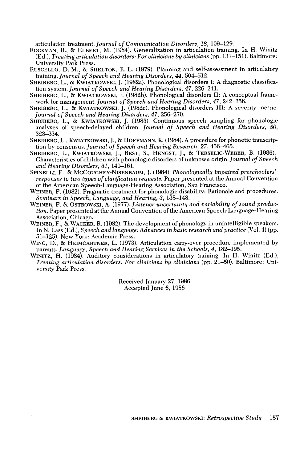articulation treatment. *Journal of Communication Disorders, 18,* 109-129.

- ROCKMAN, B., & ELBERT, M. (1984). Generalization in articulation training. In H. Winitz (Ed.), *Treating articulation disorders: For clinicians by clinicians* (pp. 131-151). Baltimore: University Park Press.
- RUSCELLO, D. M., SHELTON, R. L. (1979). Planning and self-assessment in articulatory training. *Journal of Speech and Hearing Disorders, 44, 504–512.*
- SHRIBERG, L., & KWIATKOWSKI, J. (1982a). Phonological disorders I: A diagnostic classification system. *Journal of Speech and Hearing Disorders, 47, 226–241.*
- SHRIBERG, L., & KWlATKOWSKI, J. (1982b). Phonological disorders II: A conceptual framework for management. *Journal of Speech and Hearing Disorders, 47,* 242-256.
- SHRIBERG, L., & KWIATKOWSKI, J. (1982c). Phonological disorders III: A severity metric. *Journal of Speech and Hearing Disorders, 47,* 256-270.
- SHRIBERG, L., & KWIATKOWSKI, J. (1985). Continuous speech sampling for phonologic analyses of speech-delayed children. *Journal of Speech and Hearing Disorders, 50,*  323-334.
- SHRIBERG, L., KWlATKOWSKI, J., & HOFFMANN, K. (1984). A procedure for phonetic transcription by consensus. *Journal of Speech and Hearing Research*, 27, 456–465.
- SHRIBERG, L., KWIATKOWSKI, J., BEST, S., HENGST, J., & TERSELIC-WEBER, B. (1986). Characteristics of children with phonologic disorders of unknown origin. *Journal of Speech and Hearing Disorders, 51,140-161.*
- SPINELLI, F., & McCOUGHEY-NISENBAUM, J. (1984). *Phonologically impaired preschoolers' responses to two types of clarification requests.* Paper presented at the Annual Convention of the American Speech-Language-Hearing Association, San Francisco.
- WEINER, F. (1982). Pragmatic treatment for phonologic disability: Rationale and procedures. *Seminars in Speech, Language, and Hearing, 3, 138–148.*
- WEINER, F. & OSTROWSKI, A. (1977). *Listener uncertainty and variability of sound production.* Paper presented at the Annual Convention of the American Speech-Language-Hearing Association, Chicago.
- WEINER, F., & WACKER, R. (1982). The development of phonology in unintelligible speakers. In N. Lass (Ed.), *Speech and language: Advances in basic research and practice* (Vol. 4) (pp. 51-125). New York: Academic Press.
- WING, D., & HEIMGARTNER, L. (1973). Articulation carry-over procedure implemented by parents. *Language, Speech and Hearing Services in the Schools, 4,* 182-195.
- WINITZ, H. (1984). Auditory considerations in articulatory training. In H. Winitz (Ed.), *Treating articulation disorders: For clinicians by clinicians* (pp. 21–50). Baltimore: University Park Press.

Received January 27, 1986 Accepted June 6, 1986